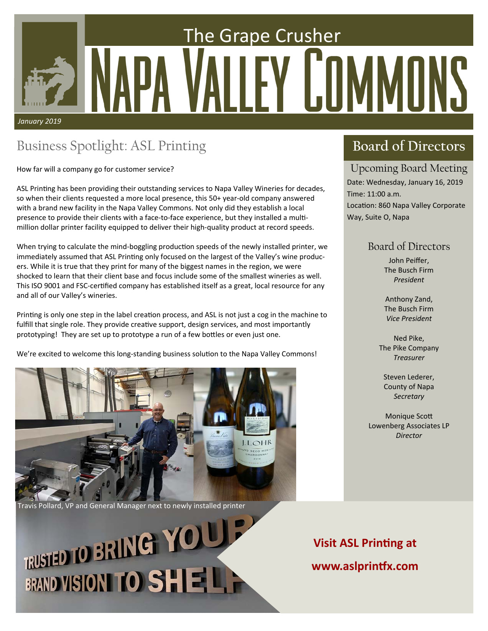## The Grape Crusher Y I.I *January 2019*

## Business Spotlight: ASL Printing

How far will a company go for customer service?

ASL Printing has been providing their outstanding services to Napa Valley Wineries for decades, so when their clients requested a more local presence, this 50+ year-old company answered with a brand new facility in the Napa Valley Commons. Not only did they establish a local presence to provide their clients with a face-to-face experience, but they installed a multimillion dollar printer facility equipped to deliver their high‐quality product at record speeds.

When trying to calculate the mind-boggling production speeds of the newly installed printer, we immediately assumed that ASL Printing only focused on the largest of the Valley's wine producers. While it is true that they print for many of the biggest names in the region, we were shocked to learn that their client base and focus include some of the smallest wineries as well. This ISO 9001 and FSC-certified company has established itself as a great, local resource for any and all of our Valley's wineries.

Printing is only one step in the label creation process, and ASL is not just a cog in the machine to fulfill that single role. They provide creative support, design services, and most importantly prototyping! They are set up to prototype a run of a few bottles or even just one.

We're excited to welcome this long-standing business solution to the Napa Valley Commons!



Travis Pollard, VP and General Manager next to newly installed printer

# RUSTED TO BRING YOU! **BRAND VISIONI TO SHELL**

#### **Board of Directors**

#### Upcoming Board Meeting

Date: Wednesday, January 16, 2019 Time: 11:00 a.m. Location: 860 Napa Valley Corporate Way, Suite O, Napa

#### Board of Directors

John Peiffer, The Busch Firm *President* 

Anthony Zand, The Busch Firm *Vice President* 

Ned Pike, The Pike Company *Treasurer* 

Steven Lederer, County of Napa *Secretary* 

**Monique Scott** Lowenberg Associates LP *Director*

**Visit ASL Printing at www.aslprinƞx.com**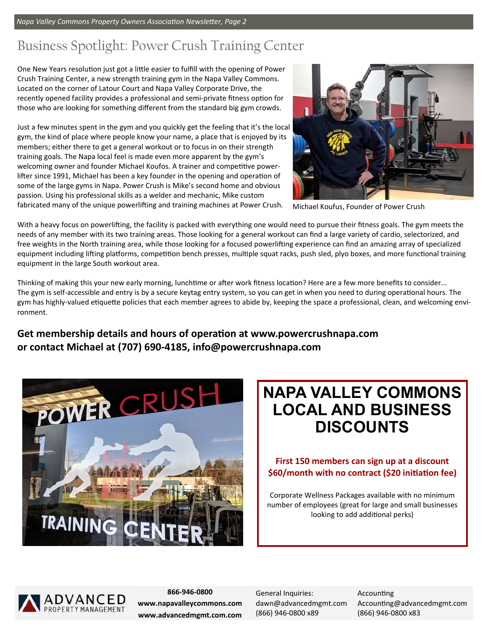*Napa Valley Commons Property Owners Association Newsletter, Page 2* 

## Business Spotlight: Power Crush Training Center

One New Years resolution just got a little easier to fulfill with the opening of Power Crush Training Center, a new strength training gym in the Napa Valley Commons. Located on the corner of Latour Court and Napa Valley Corporate Drive, the recently opened facility provides a professional and semi-private fitness option for those who are looking for something different from the standard big gym crowds.

Just a few minutes spent in the gym and you quickly get the feeling that it's the local gym, the kind of place where people know your name, a place that is enjoyed by its members; either there to get a general workout or to focus in on their strength training goals. The Napa local feel is made even more apparent by the gym's welcoming owner and founder Michael Koufos. A trainer and competitive powerlifter since 1991, Michael has been a key founder in the opening and operation of some of the large gyms in Napa. Power Crush is Mike's second home and obvious passion. Using his professional skills as a welder and mechanic, Mike custom fabricated many of the unique powerlifting and training machines at Power Crush.



Michael Koufus, Founder of Power Crush

With a heavy focus on powerlifting, the facility is packed with everything one would need to pursue their fitness goals. The gym meets the needs of any member with its two training areas. Those looking for a general workout can find a large variety of cardio, selectorized, and free weights in the North training area, while those looking for a focused powerlifting experience can find an amazing array of specialized equipment including lifting platforms, competition bench presses, multiple squat racks, push sled, plyo boxes, and more functional training

Thinking of making this your new early morning, lunchtime or after work fitness location? Here are a few more benefits to consider... The gym is self-accessible and entry is by a secure keytag entry system, so you can get in when you need to during operational hours. The gym has highly-valued etiquette policies that each member agrees to abide by, keeping the space a professional, clean, and welcoming environment.

#### Get membership details and hours of operation at www.powercrushnapa.com **or contact Michael at (707) 690‐4185, info@powercrushnapa.com**



equipment in the large South workout area.

## **NAPA VALLEY COMMONS LOCAL AND BUSINESS DISCOUNTS**

#### **First 150 members can sign up at a discount**  \$60/month with no contract (\$20 initiation fee)

Corporate Wellness Packages available with no minimum number of employees (great for large and small businesses looking to add additional perks)



**866‐946‐0800 www.napavalleycommons.com www.advancedmgmt.com.com** 

General Inquiries: dawn@advancedmgmt.com (866) 946‐0800 x89

**Accounting** Accounting@advancedmgmt.com (866) 946‐0800 x83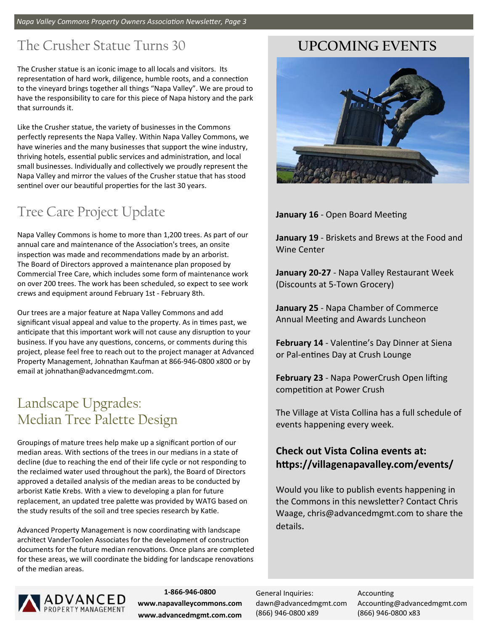#### The Crusher Statue Turns 30

The Crusher statue is an iconic image to all locals and visitors. Its representation of hard work, diligence, humble roots, and a connection to the vineyard brings together all things "Napa Valley". We are proud to have the responsibility to care for this piece of Napa history and the park that surrounds it.

Like the Crusher statue, the variety of businesses in the Commons perfectly represents the Napa Valley. Within Napa Valley Commons, we have wineries and the many businesses that support the wine industry, thriving hotels, essential public services and administration, and local small businesses. Individually and collectively we proudly represent the Napa Valley and mirror the values of the Crusher statue that has stood sentinel over our beautiful properties for the last 30 years.

## Tree Care Project Update

Napa Valley Commons is home to more than 1,200 trees. As part of our annual care and maintenance of the Association's trees, an onsite inspection was made and recommendations made by an arborist. The Board of Directors approved a maintenance plan proposed by Commercial Tree Care, which includes some form of maintenance work on over 200 trees. The work has been scheduled, so expect to see work crews and equipment around February 1st ‐ February 8th.

Our trees are a major feature at Napa Valley Commons and add significant visual appeal and value to the property. As in times past, we anticipate that this important work will not cause any disruption to your business. If you have any questions, concerns, or comments during this project, please feel free to reach out to the project manager at Advanced Property Management, Johnathan Kaufman at 866‐946‐0800 x800 or by email at johnathan@advancedmgmt.com.

## Landscape Upgrades: Median Tree Palette Design

Groupings of mature trees help make up a significant portion of our median areas. With sections of the trees in our medians in a state of decline (due to reaching the end of their life cycle or not responding to the reclaimed water used throughout the park), the Board of Directors approved a detailed analysis of the median areas to be conducted by arborist Katie Krebs. With a view to developing a plan for future replacement, an updated tree palette was provided by WATG based on the study results of the soil and tree species research by Katie.

Advanced Property Management is now coordinating with landscape architect VanderToolen Associates for the development of construction documents for the future median renovations. Once plans are completed for these areas, we will coordinate the bidding for landscape renovations of the median areas.



**1‐866‐946‐0800 www.napavalleycommons.com www.advancedmgmt.com.com** 

#### **UPCOMING EVENTS**



**January 16 - Open Board Meeting** 

**January 19** ‐ Briskets and Brews at the Food and Wine Center

**January 20‐27** ‐ Napa Valley Restaurant Week (Discounts at 5‐Town Grocery)

**January 25** ‐ Napa Chamber of Commerce Annual Meeting and Awards Luncheon

**February 14** - Valentine's Day Dinner at Siena or Pal-entines Day at Crush Lounge

**February 23** - Napa PowerCrush Open lifting competition at Power Crush

The Village at Vista Collina has a full schedule of events happening every week.

#### **Check out Vista Colina events at: hƩps://villagenapavalley.com/events/**

Would you like to publish events happening in the Commons in this newsletter? Contact Chris Waage, chris@advancedmgmt.com to share the details.

General Inquiries: dawn@advancedmgmt.com (866) 946‐0800 x89

**Accounting** Accounting@advancedmgmt.com (866) 946‐0800 x83